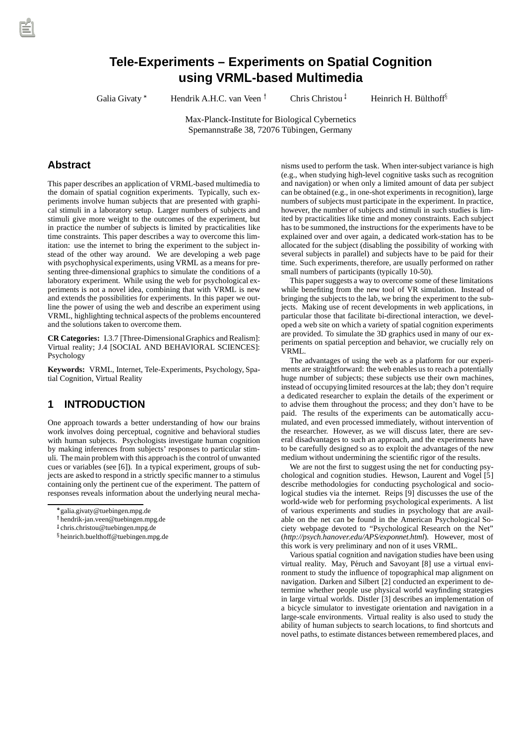# **Tele-Experiments – Experiments on Spatial Cognition using VRML-based Multimedia**

Galia Givaty\*

Hendrik A.H.C. van Veen  $\dagger$ 

Chris Christou<sup> $<sup>†</sup>$ </sup></sup>

Heinrich H. Bülthoff<sup>§</sup>

Max-Planck-Institute for Biological Cybernetics Spemannstraße 38, 72076 Tübingen, Germany

### **Abstract**

This paper describes an application of VRML-based multimedia to the domain of spatial cognition experiments. Typically, such experiments involve human subjects that are presented with graphical stimuli in a laboratory setup. Larger numbers of subjects and stimuli give more weight to the outcomes of the experiment, but in practice the number of subjects is limited by practicalities like time constraints. This paper describes a way to overcome this limitation: use the internet to bring the experiment to the subject instead of the other way around. We are developing a web page with psychophysical experiments, using VRML as a means for presenting three-dimensional graphics to simulate the conditions of a laboratory experiment. While using the web for psychological experiments is not a novel idea, combining that with VRML is new and extends the possibilities for experiments. In this paper we outline the power of using the web and describe an experiment using VRML, highlighting technical aspects of the problems encountered and the solutions taken to overcome them.

**CR Categories:** I.3.7 [Three-Dimensional Graphics and Realism]: Virtual reality; J.4 [SOCIAL AND BEHAVIORAL SCIENCES]: Psychology

**Keywords:** VRML, Internet, Tele-Experiments, Psychology, Spatial Cognition, Virtual Reality

# **1 INTRODUCTION**

One approach towards a better understanding of how our brains work involves doing perceptual, cognitive and behavioral studies with human subjects. Psychologists investigate human cognition by making inferences from subjects' responses to particular stimuli. The main problem with this approach is the control of unwanted cues or variables (see [6]). In a typical experiment, groups of subjects are asked to respond in a strictly specific manner to a stimulus containing only the pertinent cue of the experiment. The pattern of responses reveals information about the underlying neural mechanisms used to perform the task. When inter-subject variance is high (e.g., when studying high-level cognitive tasks such as recognition and navigation) or when only a limited amount of data per subject can be obtained (e.g., in one-shot experiments in recognition), large numbers of subjects must participate in the experiment. In practice, however, the number of subjects and stimuli in such studies is limited by practicalities like time and money constraints. Each subject has to be summoned, the instructions for the experiments have to be explained over and over again, a dedicated work-station has to be allocated for the subject (disabling the possibility of working with several subjects in parallel) and subjects have to be paid for their time. Such experiments, therefore, are usually performed on rather small numbers of participants (typically 10-50).

This paper suggests a way to overcome some of these limitations while benefiting from the new tool of VR simulation. Instead of bringing the subjects to the lab, we bring the experiment to the subjects. Making use of recent developments in web applications, in particular those that facilitate bi-directional interaction, we developed a web site on which a variety of spatial cognition experiments are provided. To simulate the 3D graphics used in many of our experiments on spatial perception and behavior, we crucially rely on VRML.

The advantages of using the web as a platform for our experiments are straightforward: the web enables us to reach a potentially huge number of subjects; these subjects use their own machines, instead of occupying limited resources at the lab; they don't require a dedicated researcher to explain the details of the experiment or to advise them throughout the process; and they don't have to be paid. The results of the experiments can be automatically accumulated, and even processed immediately, without intervention of the researcher. However, as we will discuss later, there are several disadvantages to such an approach, and the experiments have to be carefully designed so as to exploit the advantages of the new medium without undermining the scientific rigor of the results.

We are not the first to suggest using the net for conducting psychological and cognition studies. Hewson, Laurent and Vogel [5] describe methodologies for conducting psychological and sociological studies via the internet. Reips [9] discusses the use of the world-wide web for performing psychological experiments. A list of various experiments and studies in psychology that are available on the net can be found in the American Psychological Society webpage devoted to "Psychological Research on the Net" (*http://psych.hanover.edu/APS/exponnet.html*). However, most of this work is very preliminary and non of it uses VRML.

Various spatial cognition and navigation studies have been using virtual reality. May, Péruch and Savoyant [8] use a virtual environment to study the influence of topographical map alignment on navigation. Darken and Silbert [2] conducted an experiment to determine whether people use physical world wayfinding strategies in large virtual worlds. Distler [3] describes an implementation of a bicycle simulator to investigate orientation and navigation in a large-scale environments. Virtual reality is also used to study the ability of human subjects to search locations, to find shortcuts and novel paths, to estimate distances between remembered places, and

galia.givaty@tuebingen.mpg.de

<sup>y</sup> hendrik-jan.veen@tuebingen.mpg.de

<sup>z</sup> chris.christou@tuebingen.mpg.de

<sup>x</sup> heinrich.buelthoff@tuebingen.mpg.de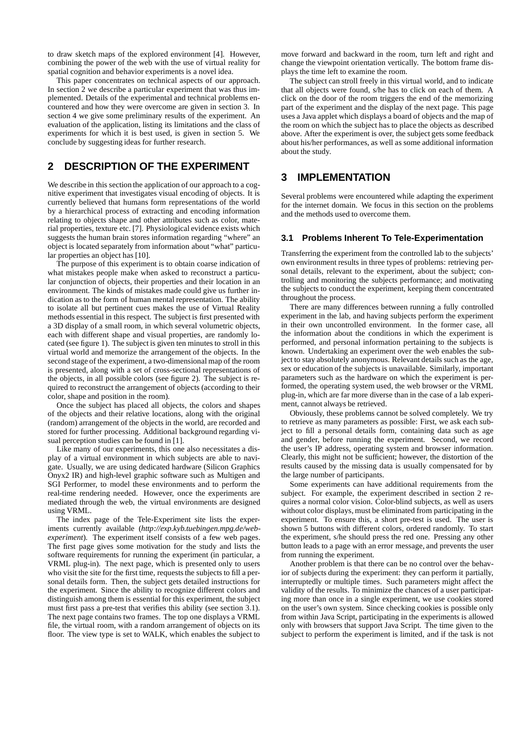to draw sketch maps of the explored environment [4]. However, combining the power of the web with the use of virtual reality for spatial cognition and behavior experiments is a novel idea.

This paper concentrates on technical aspects of our approach. In section 2 we describe a particular experiment that was thus implemented. Details of the experimental and technical problems encountered and how they were overcome are given in section 3. In section 4 we give some preliminary results of the experiment. An evaluation of the application, listing its limitations and the class of experiments for which it is best used, is given in section 5. We conclude by suggesting ideas for further research.

# **2 DESCRIPTION OF THE EXPERIMENT**

We describe in this section the application of our approach to a cognitive experiment that investigates visual encoding of objects. It is currently believed that humans form representations of the world by a hierarchical process of extracting and encoding information relating to objects shape and other attributes such as color, material properties, texture etc. [7]. Physiological evidence exists which suggests the human brain stores information regarding "where" an object is located separately from information about "what" particular properties an object has [10].

The purpose of this experiment is to obtain coarse indication of what mistakes people make when asked to reconstruct a particular conjunction of objects, their properties and their location in an environment. The kinds of mistakes made could give us further indication as to the form of human mental representation. The ability to isolate all but pertinent cues makes the use of Virtual Reality methods essential in this respect. The subject is first presented with a 3D display of a small room, in which several volumetric objects, each with different shape and visual properties, are randomly located (see figure 1). The subject is given ten minutes to stroll in this virtual world and memorize the arrangement of the objects. In the second stage of the experiment, a two-dimensional map of the room is presented, along with a set of cross-sectional representations of the objects, in all possible colors (see figure 2). The subject is required to reconstruct the arrangement of objects (according to their color, shape and position in the room).

Once the subject has placed all objects, the colors and shapes of the objects and their relative locations, along with the original (random) arrangement of the objects in the world, are recorded and stored for further processing. Additional background regarding visual perception studies can be found in [1].

Like many of our experiments, this one also necessitates a display of a virtual environment in which subjects are able to navigate. Usually, we are using dedicated hardware (Silicon Graphics Onyx2 IR) and high-level graphic software such as Multigen and SGI Performer, to model these environments and to perform the real-time rendering needed. However, once the experiments are mediated through the web, the virtual environments are designed using VRML.

The index page of the Tele-Experiment site lists the experiments currently available (*http://exp.kyb.tuebingen.mpg.de/webexperiment*). The experiment itself consists of a few web pages. The first page gives some motivation for the study and lists the software requirements for running the experiment (in particular, a VRML plug-in). The next page, which is presented only to users who visit the site for the first time, requests the subjects to fill a personal details form. Then, the subject gets detailed instructions for the experiment. Since the ability to recognize different colors and distinguish among them is essential for this experiment, the subject must first pass a pre-test that verifies this ability (see section 3.1). The next page contains two frames. The top one displays a VRML file, the virtual room, with a random arrangement of objects on its floor. The view type is set to WALK, which enables the subject to

move forward and backward in the room, turn left and right and change the viewpoint orientation vertically. The bottom frame displays the time left to examine the room.

The subject can stroll freely in this virtual world, and to indicate that all objects were found, s/he has to click on each of them. A click on the door of the room triggers the end of the memorizing part of the experiment and the display of the next page. This page uses a Java applet which displays a board of objects and the map of the room on which the subject has to place the objects as described above. After the experiment is over, the subject gets some feedback about his/her performances, as well as some additional information about the study.

#### **3 IMPLEMENTATION**

Several problems were encountered while adapting the experiment for the internet domain. We focus in this section on the problems and the methods used to overcome them.

#### **3.1 Problems Inherent To Tele-Experimentation**

Transferring the experiment from the controlled lab to the subjects' own environment results in three types of problems: retrieving personal details, relevant to the experiment, about the subject; controlling and monitoring the subjects performance; and motivating the subjects to conduct the experiment, keeping them concentrated throughout the process.

There are many differences between running a fully controlled experiment in the lab, and having subjects perform the experiment in their own uncontrolled environment. In the former case, all the information about the conditions in which the experiment is performed, and personal information pertaining to the subjects is known. Undertaking an experiment over the web enables the subject to stay absolutely anonymous. Relevant details such as the age, sex or education of the subjects is unavailable. Similarly, important parameters such as the hardware on which the experiment is performed, the operating system used, the web browser or the VRML plug-in, which are far more diverse than in the case of a lab experiment, cannot always be retrieved.

Obviously, these problems cannot be solved completely. We try to retrieve as many parameters as possible: First, we ask each subject to fill a personal details form, containing data such as age and gender, before running the experiment. Second, we record the user's IP address, operating system and browser information. Clearly, this might not be sufficient; however, the distortion of the results caused by the missing data is usually compensated for by the large number of participants.

Some experiments can have additional requirements from the subject. For example, the experiment described in section 2 requires a normal color vision. Color-blind subjects, as well as users without color displays, must be eliminated from participating in the experiment. To ensure this, a short pre-test is used. The user is shown 5 buttons with different colors, ordered randomly. To start the experiment, s/he should press the red one. Pressing any other button leads to a page with an error message, and prevents the user from running the experiment.

Another problem is that there can be no control over the behavior of subjects during the experiment: they can perform it partially, interruptedly or multiple times. Such parameters might affect the validity of the results. To minimize the chances of a user participating more than once in a single experiment, we use cookies stored on the user's own system. Since checking cookies is possible only from within Java Script, participating in the experiments is allowed only with browsers that support Java Script. The time given to the subject to perform the experiment is limited, and if the task is not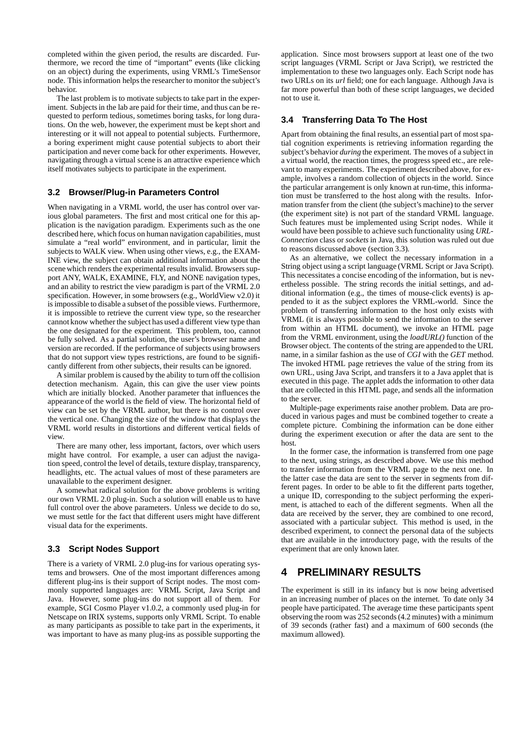completed within the given period, the results are discarded. Furthermore, we record the time of "important" events (like clicking on an object) during the experiments, using VRML's TimeSensor node. This information helps the researcher to monitor the subject's behavior.

The last problem is to motivate subjects to take part in the experiment. Subjects in the lab are paid for their time, and thus can be requested to perform tedious, sometimes boring tasks, for long durations. On the web, however, the experiment must be kept short and interesting or it will not appeal to potential subjects. Furthermore, a boring experiment might cause potential subjects to abort their participation and never come back for other experiments. However, navigating through a virtual scene is an attractive experience which itself motivates subjects to participate in the experiment.

#### **3.2 Browser/Plug-in Parameters Control**

When navigating in a VRML world, the user has control over various global parameters. The first and most critical one for this application is the navigation paradigm. Experiments such as the one described here, which focus on human navigation capabilities, must simulate a "real world" environment, and in particular, limit the subjects to WALK view. When using other views, e.g., the EXAM-INE view, the subject can obtain additional information about the scene which renders the experimental results invalid. Browsers support ANY, WALK, EXAMINE, FLY, and NONE navigation types, and an ability to restrict the view paradigm is part of the VRML 2.0 specification. However, in some browsers (e.g., WorldView v2.0) it is impossible to disable a subset of the possible views. Furthermore, it is impossible to retrieve the current view type, so the researcher cannot know whether the subject has used a different view type than the one designated for the experiment. This problem, too, cannot be fully solved. As a partial solution, the user's browser name and version are recorded. If the performance of subjects using browsers that do not support view types restrictions, are found to be significantly different from other subjects, their results can be ignored.

A similar problem is caused by the ability to turn off the collision detection mechanism. Again, this can give the user view points which are initially blocked. Another parameter that influences the appearance of the world is the field of view. The horizontal field of view can be set by the VRML author, but there is no control over the vertical one. Changing the size of the window that displays the VRML world results in distortions and different vertical fields of view.

There are many other, less important, factors, over which users might have control. For example, a user can adjust the navigation speed, control the level of details, texture display, transparency, headlights, etc. The actual values of most of these parameters are unavailable to the experiment designer.

A somewhat radical solution for the above problems is writing our own VRML 2.0 plug-in. Such a solution will enable us to have full control over the above parameters. Unless we decide to do so, we must settle for the fact that different users might have different visual data for the experiments.

#### **3.3 Script Nodes Support**

There is a variety of VRML 2.0 plug-ins for various operating systems and browsers. One of the most important differences among different plug-ins is their support of Script nodes. The most commonly supported languages are: VRML Script, Java Script and Java. However, some plug-ins do not support all of them. For example, SGI Cosmo Player v1.0.2, a commonly used plug-in for Netscape on IRIX systems, supports only VRML Script. To enable as many participants as possible to take part in the experiments, it was important to have as many plug-ins as possible supporting the application. Since most browsers support at least one of the two script languages (VRML Script or Java Script), we restricted the implementation to these two languages only. Each Script node has two URLs on its *url* field; one for each language. Although Java is far more powerful than both of these script languages, we decided not to use it.

#### **3.4 Transferring Data To The Host**

Apart from obtaining the final results, an essential part of most spatial cognition experiments is retrieving information regarding the subject's behavior *during* the experiment. The moves of a subject in a virtual world, the reaction times, the progress speed etc., are relevant to many experiments. The experiment described above, for example, involves a random collection of objects in the world. Since the particular arrangement is only known at run-time, this information must be transferred to the host along with the results. Information transfer from the client (the subject's machine) to the server (the experiment site) is not part of the standard VRML language. Such features must be implemented using Script nodes. While it would have been possible to achieve such functionality using *URL-Connection* class or *sockets* in Java, this solution was ruled out due to reasons discussed above (section 3.3).

As an alternative, we collect the necessary information in a String object using a script language (VRML Script or Java Script). This necessitates a concise encoding of the information, but is nevertheless possible. The string records the initial settings, and additional information (e.g., the times of mouse-click events) is appended to it as the subject explores the VRML-world. Since the problem of transferring information to the host only exists with VRML (it is always possible to send the information to the server from within an HTML document), we invoke an HTML page from the VRML environment, using the *loadURL()* function of the Browser object. The contents of the string are appended to the URL name, in a similar fashion as the use of *CGI* with the *GET* method. The invoked HTML page retrieves the value of the string from its own URL, using Java Script, and transfers it to a Java applet that is executed in this page. The applet adds the information to other data that are collected in this HTML page, and sends all the information to the server.

Multiple-page experiments raise another problem. Data are produced in various pages and must be combined together to create a complete picture. Combining the information can be done either during the experiment execution or after the data are sent to the host.

In the former case, the information is transferred from one page to the next, using strings, as described above. We use this method to transfer information from the VRML page to the next one. In the latter case the data are sent to the server in segments from different pages. In order to be able to fit the different parts together, a unique ID, corresponding to the subject performing the experiment, is attached to each of the different segments. When all the data are received by the server, they are combined to one record, associated with a particular subject. This method is used, in the described experiment, to connect the personal data of the subjects that are available in the introductory page, with the results of the experiment that are only known later.

# **4 PRELIMINARY RESULTS**

The experiment is still in its infancy but is now being advertised in an increasing number of places on the internet. To date only 34 people have participated. The average time these participants spent observing the room was 252 seconds (4.2 minutes) with a minimum of 39 seconds (rather fast) and a maximum of 600 seconds (the maximum allowed).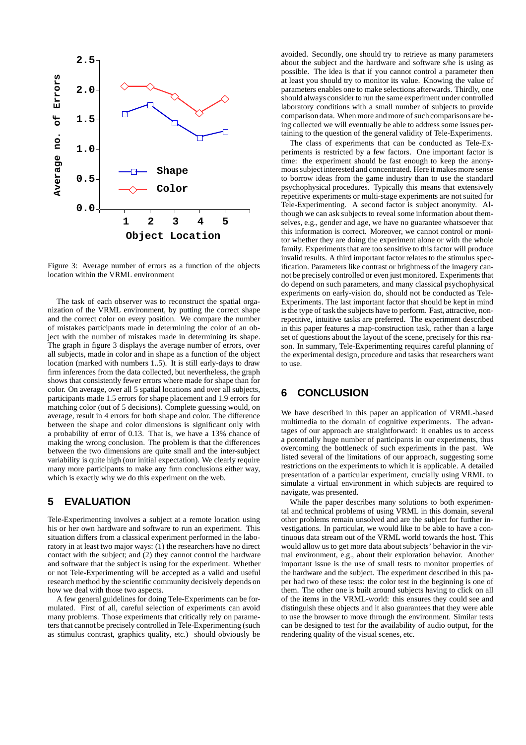

Figure 3: Average number of errors as a function of the objects location within the VRML environment

The task of each observer was to reconstruct the spatial organization of the VRML environment, by putting the correct shape and the correct color on every position. We compare the number of mistakes participants made in determining the color of an object with the number of mistakes made in determining its shape. The graph in figure 3 displays the average number of errors, over all subjects, made in color and in shape as a function of the object location (marked with numbers 1..5). It is still early-days to draw firm inferences from the data collected, but nevertheless, the graph shows that consistently fewer errors where made for shape than for color. On average, over all 5 spatial locations and over all subjects, participants made 1.5 errors for shape placement and 1.9 errors for matching color (out of 5 decisions). Complete guessing would, on average, result in 4 errors for both shape and color. The difference between the shape and color dimensions is significant only with a probability of error of 0.13. That is, we have a 13% chance of making the wrong conclusion. The problem is that the differences between the two dimensions are quite small and the inter-subject variability is quite high (our initial expectation). We clearly require many more participants to make any firm conclusions either way, which is exactly why we do this experiment on the web.

## **5 EVALUATION**

Tele-Experimenting involves a subject at a remote location using his or her own hardware and software to run an experiment. This situation differs from a classical experiment performed in the laboratory in at least two major ways: (1) the researchers have no direct contact with the subject; and (2) they cannot control the hardware and software that the subject is using for the experiment. Whether or not Tele-Experimenting will be accepted as a valid and useful research method by the scientific community decisively depends on how we deal with those two aspects.

A few general guidelines for doing Tele-Experiments can be formulated. First of all, careful selection of experiments can avoid many problems. Those experiments that critically rely on parameters that cannot be precisely controlled in Tele-Experimenting (such as stimulus contrast, graphics quality, etc.) should obviously be

avoided. Secondly, one should try to retrieve as many parameters about the subject and the hardware and software s/he is using as possible. The idea is that if you cannot control a parameter then at least you should try to monitor its value. Knowing the value of parameters enables one to make selections afterwards. Thirdly, one should always consider to run the same experiment under controlled laboratory conditions with a small number of subjects to provide comparison data. When more and more of such comparisons are being collected we will eventually be able to address some issues pertaining to the question of the general validity of Tele-Experiments.

The class of experiments that can be conducted as Tele-Experiments is restricted by a few factors. One important factor is time: the experiment should be fast enough to keep the anonymous subject interested and concentrated. Here it makes more sense to borrow ideas from the game industry than to use the standard psychophysical procedures. Typically this means that extensively repetitive experiments or multi-stage experiments are not suited for Tele-Experimenting. A second factor is subject anonymity. Although we can ask subjects to reveal some information about themselves, e.g., gender and age, we have no guarantee whatsoever that this information is correct. Moreover, we cannot control or monitor whether they are doing the experiment alone or with the whole family. Experiments that are too sensitive to this factor will produce invalid results. A third important factor relates to the stimulus specification. Parameters like contrast or brightness of the imagery cannot be precisely controlled or even just monitored. Experiments that do depend on such parameters, and many classical psychophysical experiments on early-vision do, should not be conducted as Tele-Experiments. The last important factor that should be kept in mind is the type of task the subjects have to perform. Fast, attractive, nonrepetitive, intuitive tasks are preferred. The experiment described in this paper features a map-construction task, rather than a large set of questions about the layout of the scene, precisely for this reason. In summary, Tele-Experimenting requires careful planning of the experimental design, procedure and tasks that researchers want to use.

# **6 CONCLUSION**

We have described in this paper an application of VRML-based multimedia to the domain of cognitive experiments. The advantages of our approach are straightforward: it enables us to access a potentially huge number of participants in our experiments, thus overcoming the bottleneck of such experiments in the past. We listed several of the limitations of our approach, suggesting some restrictions on the experiments to which it is applicable. A detailed presentation of a particular experiment, crucially using VRML to simulate a virtual environment in which subjects are required to navigate, was presented.

While the paper describes many solutions to both experimental and technical problems of using VRML in this domain, several other problems remain unsolved and are the subject for further investigations. In particular, we would like to be able to have a continuous data stream out of the VRML world towards the host. This would allow us to get more data about subjects' behavior in the virtual environment, e.g., about their exploration behavior. Another important issue is the use of small tests to monitor properties of the hardware and the subject. The experiment described in this paper had two of these tests: the color test in the beginning is one of them. The other one is built around subjects having to click on all of the items in the VRML-world: this ensures they could see and distinguish these objects and it also guarantees that they were able to use the browser to move through the environment. Similar tests can be designed to test for the availability of audio output, for the rendering quality of the visual scenes, etc.